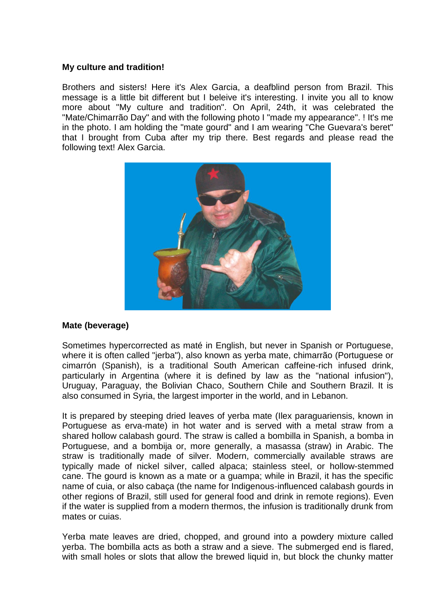## **My culture and tradition!**

Brothers and sisters! Here it's Alex Garcia, a deafblind person from Brazil. This message is a little bit different but I beleive it's interesting. I invite you all to know more about "My culture and tradition". On April, 24th, it was celebrated the "Mate/Chimarrão Day" and with the following photo I "made my appearance". ! It's me in the photo. I am holding the "mate gourd" and I am wearing "Che Guevara's beret" that I brought from Cuba after my trip there. Best regards and please read the following text! Alex Garcia.



# **Mate (beverage)**

Sometimes hypercorrected as maté in English, but never in Spanish or Portuguese, where it is often called "jerba"), also known as yerba mate, chimarrão (Portuguese or cimarrón (Spanish), is a traditional South American caffeine-rich infused drink, particularly in Argentina (where it is defined by law as the "national infusion"), Uruguay, Paraguay, the Bolivian Chaco, Southern Chile and Southern Brazil. It is also consumed in Syria, the largest importer in the world, and in Lebanon.

It is prepared by steeping dried leaves of yerba mate (Ilex paraguariensis, known in Portuguese as erva-mate) in hot water and is served with a metal straw from a shared hollow calabash gourd. The straw is called a bombilla in Spanish, a bomba in Portuguese, and a bombija or, more generally, a masassa (straw) in Arabic. The straw is traditionally made of silver. Modern, commercially available straws are typically made of nickel silver, called alpaca; stainless steel, or hollow-stemmed cane. The gourd is known as a mate or a guampa; while in Brazil, it has the specific name of cuia, or also cabaça (the name for Indigenous-influenced calabash gourds in other regions of Brazil, still used for general food and drink in remote regions). Even if the water is supplied from a modern thermos, the infusion is traditionally drunk from mates or cuias.

Yerba mate leaves are dried, chopped, and ground into a powdery mixture called yerba. The bombilla acts as both a straw and a sieve. The submerged end is flared, with small holes or slots that allow the brewed liquid in, but block the chunky matter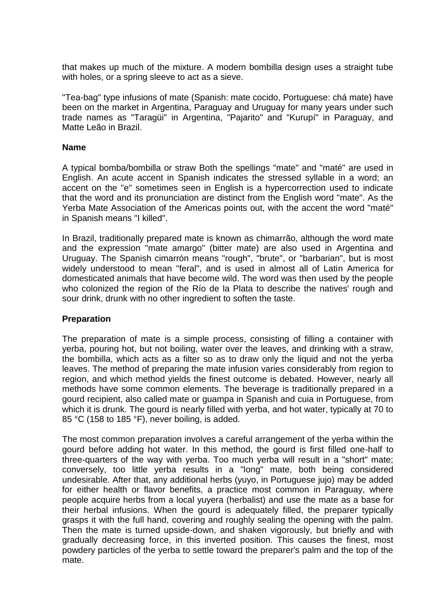that makes up much of the mixture. A modern bombilla design uses a straight tube with holes, or a spring sleeve to act as a sieve.

"Tea-bag" type infusions of mate (Spanish: mate cocido, Portuguese: chá mate) have been on the market in Argentina, Paraguay and Uruguay for many years under such trade names as "Taragüi" in Argentina, "Pajarito" and "Kurupí" in Paraguay, and Matte Leão in Brazil.

#### **Name**

A typical bomba/bombilla or straw Both the spellings "mate" and "maté" are used in English. An acute accent in Spanish indicates the stressed syllable in a word; an accent on the "e" sometimes seen in English is a hypercorrection used to indicate that the word and its pronunciation are distinct from the English word "mate". As the Yerba Mate Association of the Americas points out, with the accent the word "maté" in Spanish means "I killed".

In Brazil, traditionally prepared mate is known as chimarrão, although the word mate and the expression "mate amargo" (bitter mate) are also used in Argentina and Uruguay. The Spanish cimarrón means "rough", "brute", or "barbarian", but is most widely understood to mean "feral", and is used in almost all of Latin America for domesticated animals that have become wild. The word was then used by the people who colonized the region of the Río de la Plata to describe the natives' rough and sour drink, drunk with no other ingredient to soften the taste.

### **Preparation**

The preparation of mate is a simple process, consisting of filling a container with yerba, pouring hot, but not boiling, water over the leaves, and drinking with a straw, the bombilla, which acts as a filter so as to draw only the liquid and not the yerba leaves. The method of preparing the mate infusion varies considerably from region to region, and which method yields the finest outcome is debated. However, nearly all methods have some common elements. The beverage is traditionally prepared in a gourd recipient, also called mate or guampa in Spanish and cuia in Portuguese, from which it is drunk. The gourd is nearly filled with yerba, and hot water, typically at 70 to 85 °C (158 to 185 °F), never boiling, is added.

The most common preparation involves a careful arrangement of the yerba within the gourd before adding hot water. In this method, the gourd is first filled one-half to three-quarters of the way with yerba. Too much yerba will result in a "short" mate; conversely, too little yerba results in a "long" mate, both being considered undesirable. After that, any additional herbs (yuyo, in Portuguese jujo) may be added for either health or flavor benefits, a practice most common in Paraguay, where people acquire herbs from a local yuyera (herbalist) and use the mate as a base for their herbal infusions. When the gourd is adequately filled, the preparer typically grasps it with the full hand, covering and roughly sealing the opening with the palm. Then the mate is turned upside-down, and shaken vigorously, but briefly and with gradually decreasing force, in this inverted position. This causes the finest, most powdery particles of the yerba to settle toward the preparer's palm and the top of the mate.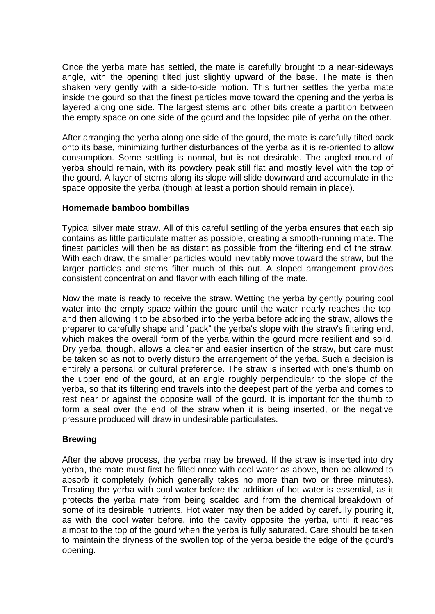Once the yerba mate has settled, the mate is carefully brought to a near-sideways angle, with the opening tilted just slightly upward of the base. The mate is then shaken very gently with a side-to-side motion. This further settles the yerba mate inside the gourd so that the finest particles move toward the opening and the yerba is layered along one side. The largest stems and other bits create a partition between the empty space on one side of the gourd and the lopsided pile of yerba on the other.

After arranging the yerba along one side of the gourd, the mate is carefully tilted back onto its base, minimizing further disturbances of the yerba as it is re-oriented to allow consumption. Some settling is normal, but is not desirable. The angled mound of yerba should remain, with its powdery peak still flat and mostly level with the top of the gourd. A layer of stems along its slope will slide downward and accumulate in the space opposite the yerba (though at least a portion should remain in place).

### **Homemade bamboo bombillas**

Typical silver mate straw. All of this careful settling of the yerba ensures that each sip contains as little particulate matter as possible, creating a smooth-running mate. The finest particles will then be as distant as possible from the filtering end of the straw. With each draw, the smaller particles would inevitably move toward the straw, but the larger particles and stems filter much of this out. A sloped arrangement provides consistent concentration and flavor with each filling of the mate.

Now the mate is ready to receive the straw. Wetting the yerba by gently pouring cool water into the empty space within the gourd until the water nearly reaches the top, and then allowing it to be absorbed into the yerba before adding the straw, allows the preparer to carefully shape and "pack" the yerba's slope with the straw's filtering end, which makes the overall form of the yerba within the gourd more resilient and solid. Dry yerba, though, allows a cleaner and easier insertion of the straw, but care must be taken so as not to overly disturb the arrangement of the yerba. Such a decision is entirely a personal or cultural preference. The straw is inserted with one's thumb on the upper end of the gourd, at an angle roughly perpendicular to the slope of the yerba, so that its filtering end travels into the deepest part of the yerba and comes to rest near or against the opposite wall of the gourd. It is important for the thumb to form a seal over the end of the straw when it is being inserted, or the negative pressure produced will draw in undesirable particulates.

### **Brewing**

After the above process, the yerba may be brewed. If the straw is inserted into dry yerba, the mate must first be filled once with cool water as above, then be allowed to absorb it completely (which generally takes no more than two or three minutes). Treating the yerba with cool water before the addition of hot water is essential, as it protects the yerba mate from being scalded and from the chemical breakdown of some of its desirable nutrients. Hot water may then be added by carefully pouring it, as with the cool water before, into the cavity opposite the yerba, until it reaches almost to the top of the gourd when the yerba is fully saturated. Care should be taken to maintain the dryness of the swollen top of the yerba beside the edge of the gourd's opening.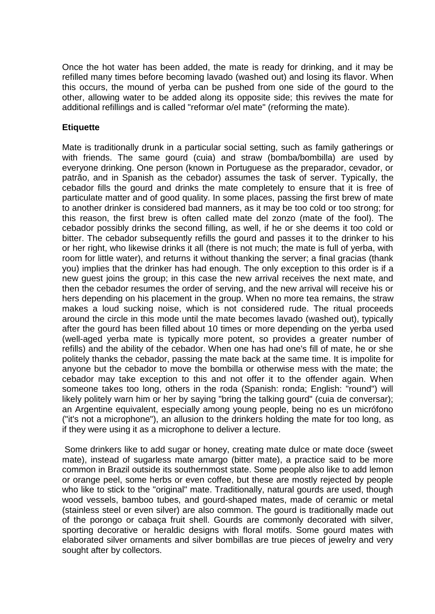Once the hot water has been added, the mate is ready for drinking, and it may be refilled many times before becoming lavado (washed out) and losing its flavor. When this occurs, the mound of yerba can be pushed from one side of the gourd to the other, allowing water to be added along its opposite side; this revives the mate for additional refillings and is called "reformar o/el mate" (reforming the mate).

## **Etiquette**

Mate is traditionally drunk in a particular social setting, such as family gatherings or with friends. The same gourd (cuia) and straw (bomba/bombilla) are used by everyone drinking. One person (known in Portuguese as the preparador, cevador, or patrão, and in Spanish as the cebador) assumes the task of server. Typically, the cebador fills the gourd and drinks the mate completely to ensure that it is free of particulate matter and of good quality. In some places, passing the first brew of mate to another drinker is considered bad manners, as it may be too cold or too strong; for this reason, the first brew is often called mate del zonzo (mate of the fool). The cebador possibly drinks the second filling, as well, if he or she deems it too cold or bitter. The cebador subsequently refills the gourd and passes it to the drinker to his or her right, who likewise drinks it all (there is not much; the mate is full of yerba, with room for little water), and returns it without thanking the server; a final gracias (thank you) implies that the drinker has had enough. The only exception to this order is if a new guest joins the group; in this case the new arrival receives the next mate, and then the cebador resumes the order of serving, and the new arrival will receive his or hers depending on his placement in the group. When no more tea remains, the straw makes a loud sucking noise, which is not considered rude. The ritual proceeds around the circle in this mode until the mate becomes lavado (washed out), typically after the gourd has been filled about 10 times or more depending on the yerba used (well-aged yerba mate is typically more potent, so provides a greater number of refills) and the ability of the cebador. When one has had one's fill of mate, he or she politely thanks the cebador, passing the mate back at the same time. It is impolite for anyone but the cebador to move the bombilla or otherwise mess with the mate; the cebador may take exception to this and not offer it to the offender again. When someone takes too long, others in the roda (Spanish: ronda; English: "round") will likely politely warn him or her by saying "bring the talking gourd" (cuia de conversar); an Argentine equivalent, especially among young people, being no es un micrófono ("it's not a microphone"), an allusion to the drinkers holding the mate for too long, as if they were using it as a microphone to deliver a lecture.

Some drinkers like to add sugar or honey, creating mate dulce or mate doce (sweet mate), instead of sugarless mate amargo (bitter mate), a practice said to be more common in Brazil outside its southernmost state. Some people also like to add lemon or orange peel, some herbs or even coffee, but these are mostly rejected by people who like to stick to the "original" mate. Traditionally, natural gourds are used, though wood vessels, bamboo tubes, and gourd-shaped mates, made of ceramic or metal (stainless steel or even silver) are also common. The gourd is traditionally made out of the porongo or cabaça fruit shell. Gourds are commonly decorated with silver, sporting decorative or heraldic designs with floral motifs. Some gourd mates with elaborated silver ornaments and silver bombillas are true pieces of jewelry and very sought after by collectors.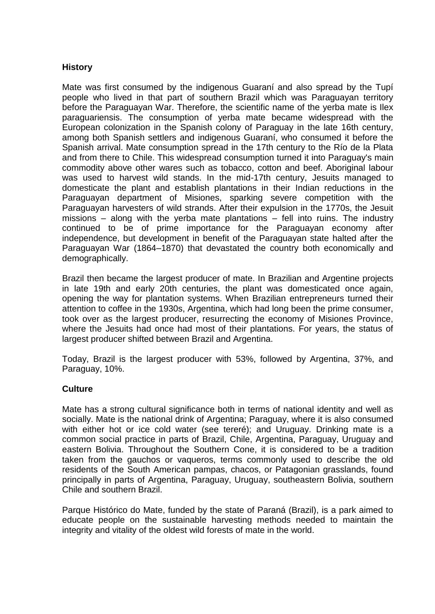## **History**

Mate was first consumed by the indigenous Guaraní and also spread by the Tupí people who lived in that part of southern Brazil which was Paraguayan territory before the Paraguayan War. Therefore, the scientific name of the yerba mate is Ilex paraguariensis. The consumption of yerba mate became widespread with the European colonization in the Spanish colony of Paraguay in the late 16th century, among both Spanish settlers and indigenous Guaraní, who consumed it before the Spanish arrival. Mate consumption spread in the 17th century to the Río de la Plata and from there to Chile. This widespread consumption turned it into Paraguay's main commodity above other wares such as tobacco, cotton and beef. Aboriginal labour was used to harvest wild stands. In the mid-17th century, Jesuits managed to domesticate the plant and establish plantations in their Indian reductions in the Paraguayan department of Misiones, sparking severe competition with the Paraguayan harvesters of wild strands. After their expulsion in the 1770s, the Jesuit missions – along with the yerba mate plantations – fell into ruins. The industry continued to be of prime importance for the Paraguayan economy after independence, but development in benefit of the Paraguayan state halted after the Paraguayan War (1864–1870) that devastated the country both economically and demographically.

Brazil then became the largest producer of mate. In Brazilian and Argentine projects in late 19th and early 20th centuries, the plant was domesticated once again, opening the way for plantation systems. When Brazilian entrepreneurs turned their attention to coffee in the 1930s, Argentina, which had long been the prime consumer, took over as the largest producer, resurrecting the economy of Misiones Province, where the Jesuits had once had most of their plantations. For years, the status of largest producer shifted between Brazil and Argentina.

Today, Brazil is the largest producer with 53%, followed by Argentina, 37%, and Paraguay, 10%.

### **Culture**

Mate has a strong cultural significance both in terms of national identity and well as socially. Mate is the national drink of Argentina; Paraguay, where it is also consumed with either hot or ice cold water (see tereré); and Uruguay. Drinking mate is a common social practice in parts of Brazil, Chile, Argentina, Paraguay, Uruguay and eastern Bolivia. Throughout the Southern Cone, it is considered to be a tradition taken from the gauchos or vaqueros, terms commonly used to describe the old residents of the South American pampas, chacos, or Patagonian grasslands, found principally in parts of Argentina, Paraguay, Uruguay, southeastern Bolivia, southern Chile and southern Brazil.

Parque Histórico do Mate, funded by the state of Paraná (Brazil), is a park aimed to educate people on the sustainable harvesting methods needed to maintain the integrity and vitality of the oldest wild forests of mate in the world.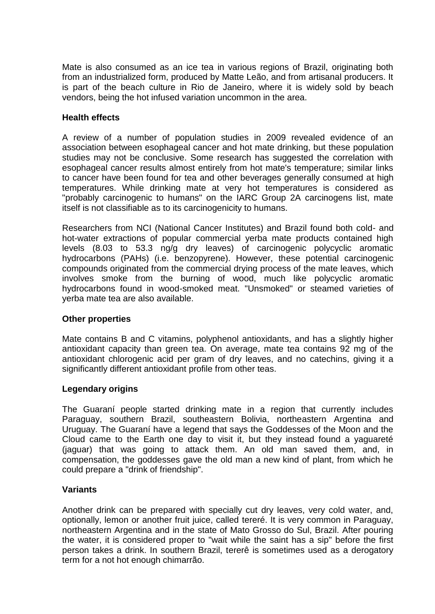Mate is also consumed as an ice tea in various regions of Brazil, originating both from an industrialized form, produced by Matte Leão, and from artisanal producers. It is part of the beach culture in Rio de Janeiro, where it is widely sold by beach vendors, being the hot infused variation uncommon in the area.

## **Health effects**

A review of a number of population studies in 2009 revealed evidence of an association between esophageal cancer and hot mate drinking, but these population studies may not be conclusive. Some research has suggested the correlation with esophageal cancer results almost entirely from hot mate's temperature; similar links to cancer have been found for tea and other beverages generally consumed at high temperatures. While drinking mate at very hot temperatures is considered as "probably carcinogenic to humans" on the IARC Group 2A carcinogens list, mate itself is not classifiable as to its carcinogenicity to humans.

Researchers from NCI (National Cancer Institutes) and Brazil found both cold- and hot-water extractions of popular commercial yerba mate products contained high levels (8.03 to 53.3 ng/g dry leaves) of carcinogenic polycyclic aromatic hydrocarbons (PAHs) (i.e. benzopyrene). However, these potential carcinogenic compounds originated from the commercial drying process of the mate leaves, which involves smoke from the burning of wood, much like polycyclic aromatic hydrocarbons found in wood-smoked meat. "Unsmoked" or steamed varieties of yerba mate tea are also available.

### **Other properties**

Mate contains B and C vitamins, polyphenol antioxidants, and has a slightly higher antioxidant capacity than green tea. On average, mate tea contains 92 mg of the antioxidant chlorogenic acid per gram of dry leaves, and no catechins, giving it a significantly different antioxidant profile from other teas.

### **Legendary origins**

The Guaraní people started drinking mate in a region that currently includes Paraguay, southern Brazil, southeastern Bolivia, northeastern Argentina and Uruguay. The Guaraní have a legend that says the Goddesses of the Moon and the Cloud came to the Earth one day to visit it, but they instead found a yaguareté (jaguar) that was going to attack them. An old man saved them, and, in compensation, the goddesses gave the old man a new kind of plant, from which he could prepare a "drink of friendship".

### **Variants**

Another drink can be prepared with specially cut dry leaves, very cold water, and, optionally, lemon or another fruit juice, called tereré. It is very common in Paraguay, northeastern Argentina and in the state of Mato Grosso do Sul, Brazil. After pouring the water, it is considered proper to "wait while the saint has a sip" before the first person takes a drink. In southern Brazil, tererê is sometimes used as a derogatory term for a not hot enough chimarrão.